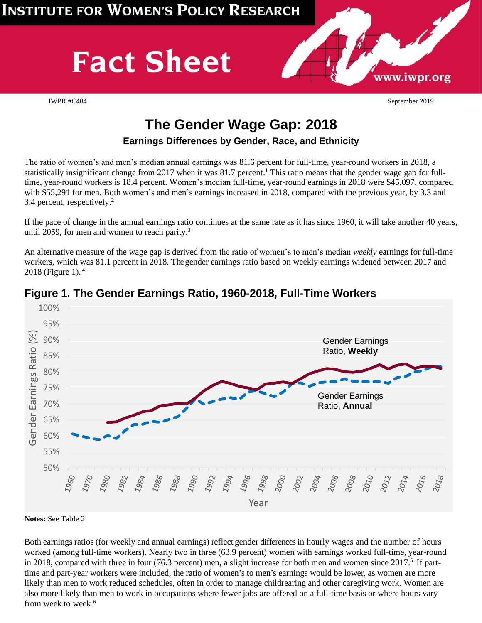# **Fact Sheet**

IWPR #C484 September 2019

www.iwpr.org

# **The Gender Wage Gap: 2018**

#### **Earnings Differences by Gender, Race, and Ethnicity**

The ratio of women's and men's median annual earnings was 81.6 percent for full-time, year-round workers in 2018, a statistically insignificant change from 2017 when it was 81.7 percent.<sup>1</sup> This ratio means that the gender wage gap for fulltime, year-round workers is 18.4 percent. Women's median full-time, year-round earnings in 2018 were \$45,097, compared with \$55,291 for men. Both women's and men's earnings increased in 2018, compared with the previous year, by 3.3 and 3.4 percent, respectively. 2

If the pace of change in the annual earnings ratio continues at the same rate as it has since 1960, it will take another 40 years, until 2059, for men and women to reach parity.<sup>3</sup>

An alternative measure of the wage gap is derived from the ratio of women's to men's median *weekly* earnings for full-time workers, which was 81.1 percent in 2018. The gender earnings ratio based on weekly earnings widened between 2017 and 2018 (Figure 1).  $4$ 



## **Figure 1. The Gender Earnings Ratio, 1960-2018, Full-Time Workers**

**Notes:** See Table 2

Both earnings ratios (for weekly and annual earnings) reflect gender differences in hourly wages and the number of hours worked (among full-time workers). Nearly two in three (63.9 percent) women with earnings worked full-time, year-round in 2018, compared with three in four (76.3 percent) men, a slight increase for both men and women since 2017.<sup>5</sup> If parttime and part-year workers were included, the ratio of women's to men's earnings would be lower, as women are more likely than men to work reduced schedules, often in order to manage childrearing and other caregiving work. Women are also more likely than men to work in occupations where fewer jobs are offered on a full-time basis or where hours vary from week to week.<sup>6</sup>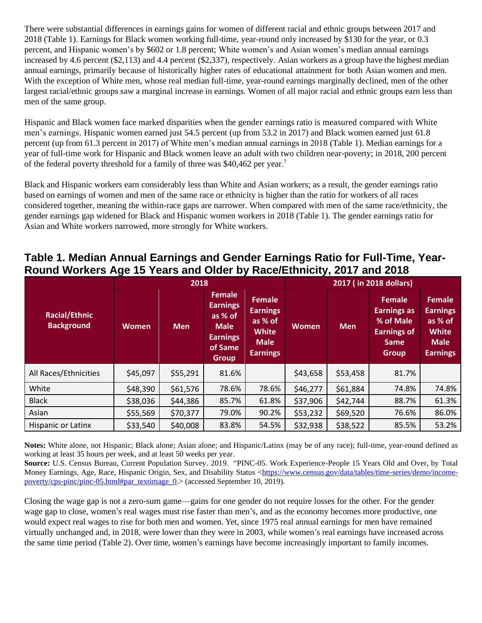There were substantial differences in earnings gains for women of different racial and ethnic groups between 2017 and 2018 (Table 1). Earnings for Black women working full-time, year-round only increased by \$130 for the year, or 0.3 percent, and Hispanic women's by \$602 or 1.8 percent; White women's and Asian women's median annual earnings increased by 4.6 percent (\$2,113) and 4.4 percent (\$2,337), respectively. Asian workers as a group have the highest median annual earnings, primarily because of historically higher rates of educational attainment for both Asian women and men. With the exception of White men, whose real median full-time, year-round earnings marginally declined, men of the other largest racial/ethnic groups saw a marginal increase in earnings. Women of all major racial and ethnic groups earn less than men of the same group.

Hispanic and Black women face marked disparities when the gender earnings ratio is measured compared with White men's earnings. Hispanic women earned just 54.5 percent (up from 53.2 in 2017) and Black women earned just 61.8 percent (up from 61.3 percent in 2017) of White men's median annual earnings in 2018 (Table 1). Median earnings for a year of full-time work for Hispanic and Black women leave an adult with two children near-poverty; in 2018, 200 percent of the federal poverty threshold for a family of three was \$40,462 per year.<sup>7</sup>

Black and Hispanic workers earn considerably less than White and Asian workers; as a result, the gender earnings ratio based on earnings of women and men of the same race or ethnicity is higher than the ratio for workers of all races considered together, meaning the within-race gaps are narrower. When compared with men of the same race/ethnicity, the gender earnings gap widened for Black and Hispanic women workers in 2018 (Table 1). The gender earnings ratio for Asian and White workers narrowed, more strongly for White workers.

#### **Table 1. Median Annual Earnings and Gender Earnings Ratio for Full-Time, Year-Round Workers Age 15 Years and Older by Race/Ethnicity, 2017 and 2018**

|                                           |              | 2018       |                                                                                                          |                                                                                               | 2017 (in 2018 dollars) |            |                                                                                                       |                                                                                               |
|-------------------------------------------|--------------|------------|----------------------------------------------------------------------------------------------------------|-----------------------------------------------------------------------------------------------|------------------------|------------|-------------------------------------------------------------------------------------------------------|-----------------------------------------------------------------------------------------------|
| <b>Racial/Ethnic</b><br><b>Background</b> | <b>Women</b> | <b>Men</b> | <b>Female</b><br><b>Earnings</b><br>as % of<br><b>Male</b><br><b>Earnings</b><br>of Same<br><b>Group</b> | <b>Female</b><br><b>Earnings</b><br>as % of<br><b>White</b><br><b>Male</b><br><b>Earnings</b> | Women                  | <b>Men</b> | <b>Female</b><br><b>Earnings as</b><br>% of Male<br><b>Earnings of</b><br><b>Same</b><br><b>Group</b> | <b>Female</b><br><b>Earnings</b><br>as % of<br><b>White</b><br><b>Male</b><br><b>Earnings</b> |
| All Races/Ethnicities                     | \$45,097     | \$55,291   | 81.6%                                                                                                    |                                                                                               | \$43,658               | \$53,458   | 81.7%                                                                                                 |                                                                                               |
| White                                     | \$48,390     | \$61,576   | 78.6%                                                                                                    | 78.6%                                                                                         | \$46,277               | \$61,884   | 74.8%                                                                                                 | 74.8%                                                                                         |
| <b>Black</b>                              | \$38,036     | \$44,386   | 85.7%                                                                                                    | 61.8%                                                                                         | \$37,906               | \$42,744   | 88.7%                                                                                                 | 61.3%                                                                                         |
| Asian                                     | \$55,569     | \$70,377   | 79.0%                                                                                                    | 90.2%                                                                                         | \$53,232               | \$69,520   | 76.6%                                                                                                 | 86.0%                                                                                         |
| Hispanic or Latinx                        | \$33,540     | \$40,008   | 83.8%                                                                                                    | 54.5%                                                                                         | \$32,938               | \$38,522   | 85.5%                                                                                                 | 53.2%                                                                                         |

**Notes:** White alone, not Hispanic; Black alone; Asian alone; and Hispanic/Latinx (may be of any race); full-time, year-round defined as working at least 35 hours per week, and at least 50 weeks per year.

**Source:** U.S. Census Bureau, Current Population Survey. 2019. "PINC-05. Work Experience-People 15 Years Old and Over, by Total Money Earnings, Age, Race, Hispanic Origin, Sex, and Disability Status [<https://www.census.gov/data/tables/time-series/demo/income](https://www.census.gov/data/tables/time-series/demo/income-poverty/cps-pinc/pinc-05.html#par_textimage_0)[poverty/cps-pinc/pinc-05.html#par\\_textimage\\_0.](https://www.census.gov/data/tables/time-series/demo/income-poverty/cps-pinc/pinc-05.html#par_textimage_0)> (accessed September 10, 2019).

Closing the wage gap is not a zero-sum game—gains for one gender do not require losses for the other. For the gender wage gap to close, women's real wages must rise faster than men's, and as the economy becomes more productive, one would expect real wages to rise for both men and women. Yet, since 1975 real annual earnings for men have remained virtually unchanged and, in 2018, were lower than they were in 2003, while women's real earnings have increased across the same time period (Table 2). Over time, women's earnings have become increasingly important to family incomes.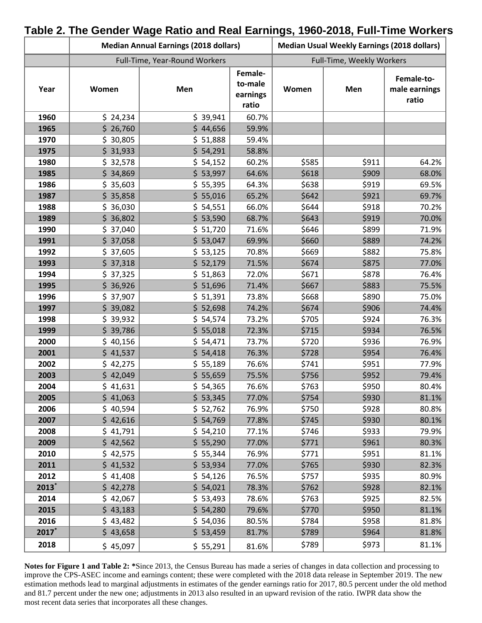|                     |          | <b>Median Annual Earnings (2018 dollars)</b> | <b>Median Usual Weekly Earnings (2018 dollars)</b> |       |       |                                      |
|---------------------|----------|----------------------------------------------|----------------------------------------------------|-------|-------|--------------------------------------|
|                     |          | Full-Time, Year-Round Workers                | Full-Time, Weekly Workers                          |       |       |                                      |
| Year                | Women    | Men                                          | Female-<br>to-male<br>earnings<br>ratio            | Women | Men   | Female-to-<br>male earnings<br>ratio |
| 1960                | \$24,234 | \$39,941                                     | 60.7%                                              |       |       |                                      |
| 1965                | \$26,760 | \$44,656                                     | 59.9%                                              |       |       |                                      |
| 1970                | \$30,805 | \$ 51,888                                    | 59.4%                                              |       |       |                                      |
| 1975                | \$31,933 | \$54,291                                     | 58.8%                                              |       |       |                                      |
| 1980                | \$32,578 | \$54,152                                     | 60.2%                                              | \$585 | \$911 | 64.2%                                |
| 1985                | \$34,869 | \$53,997                                     | 64.6%                                              | \$618 | \$909 | 68.0%                                |
| 1986                | \$35,603 | \$55,395                                     | 64.3%                                              | \$638 | \$919 | 69.5%                                |
| 1987                | \$35,858 | \$55,016                                     | 65.2%                                              | \$642 | \$921 | 69.7%                                |
| 1988                | \$36,030 | \$54,551                                     | 66.0%                                              | \$644 | \$918 | 70.2%                                |
| 1989                | \$36,802 | \$53,590                                     | 68.7%                                              | \$643 | \$919 | 70.0%                                |
| 1990                | \$37,040 | \$ 51,720                                    | 71.6%                                              | \$646 | \$899 | 71.9%                                |
| 1991                | \$37,058 | \$53,047                                     | 69.9%                                              | \$660 | \$889 | 74.2%                                |
| 1992                | \$37,605 | \$53,125                                     | 70.8%                                              | \$669 | \$882 | 75.8%                                |
| 1993                | \$37,318 | \$52,179                                     | 71.5%                                              | \$674 | \$875 | 77.0%                                |
| 1994                | \$37,325 | \$ 51,863                                    | 72.0%                                              | \$671 | \$878 | 76.4%                                |
| 1995                | \$36,926 | \$ 51,696                                    | 71.4%                                              | \$667 | \$883 | 75.5%                                |
| 1996                | \$37,907 | \$ 51,391                                    | 73.8%                                              | \$668 | \$890 | 75.0%                                |
| 1997                | \$39,082 | \$52,698                                     | 74.2%                                              | \$674 | \$906 | 74.4%                                |
| 1998                | \$39,932 | \$54,574                                     | 73.2%                                              | \$705 | \$924 | 76.3%                                |
| 1999                | \$39,786 | \$55,018                                     | 72.3%                                              | \$715 | \$934 | 76.5%                                |
| 2000                | \$40,156 | \$54,471                                     | 73.7%                                              | \$720 | \$936 | 76.9%                                |
| 2001                | \$41,537 | \$54,418                                     | 76.3%                                              | \$728 | \$954 | 76.4%                                |
| 2002                | \$42,275 | \$55,189                                     | 76.6%                                              | \$741 | \$951 | 77.9%                                |
| 2003                | \$42,049 | \$55,659                                     | 75.5%                                              | \$756 | \$952 | 79.4%                                |
| 2004                | \$41,631 | \$54,365                                     | 76.6%                                              | \$763 | \$950 | 80.4%                                |
| 2005                | \$41,063 | \$53,345                                     | 77.0%                                              | \$754 | \$930 | 81.1%                                |
| 2006                | \$40,594 | \$ 52,762                                    | 76.9%                                              | \$750 | \$928 | 80.8%                                |
| 2007                | \$42,616 | \$54,769                                     | 77.8%                                              | \$745 | \$930 | 80.1%                                |
| 2008                | \$41,791 | \$54,210                                     | 77.1%                                              | \$746 | \$933 | 79.9%                                |
| 2009                | \$42,562 | \$55,290                                     | 77.0%                                              | \$771 | \$961 | 80.3%                                |
| 2010                | \$42,575 | \$55,344                                     | 76.9%                                              | \$771 | \$951 | 81.1%                                |
| 2011                | \$41,532 | \$53,934                                     | 77.0%                                              | \$765 | \$930 | 82.3%                                |
| 2012                | \$41,408 | \$54,126                                     | 76.5%                                              | \$757 | \$935 | 80.9%                                |
| $2013$ <sup>*</sup> | \$42,278 | \$54,021                                     | 78.3%                                              | \$762 | \$928 | 82.1%                                |
| 2014                | \$42,067 | \$53,493                                     | 78.6%                                              | \$763 | \$925 | 82.5%                                |
| 2015                | \$43,183 | \$54,280                                     | 79.6%                                              | \$770 | \$950 | 81.1%                                |
| 2016                | \$43,482 | \$54,036                                     | 80.5%                                              | \$784 | \$958 | 81.8%                                |
| $2017*$             | \$43,658 | \$53,459                                     | 81.7%                                              | \$789 | \$964 | 81.8%                                |
| 2018                | \$45,097 | \$55,291                                     | 81.6%                                              | \$789 | \$973 | 81.1%                                |

#### **Table 2. The Gender Wage Ratio and Real Earnings, 1960-2018, Full-Time Workers**

**Notes for Figure 1 and Table 2: \***Since 2013, the Census Bureau has made a series of changes in data collection and processing to improve the CPS-ASEC income and earnings content; these were completed with the 2018 data release in September 2019. The new estimation methods lead to marginal adjustments in estimates of the gender earnings ratio for 2017, 80.5 percent under the old method and 81.7 percent under the new one; adjustments in 2013 also resulted in an upward revision of the ratio. IWPR data show the most recent data series that incorporates all these changes.